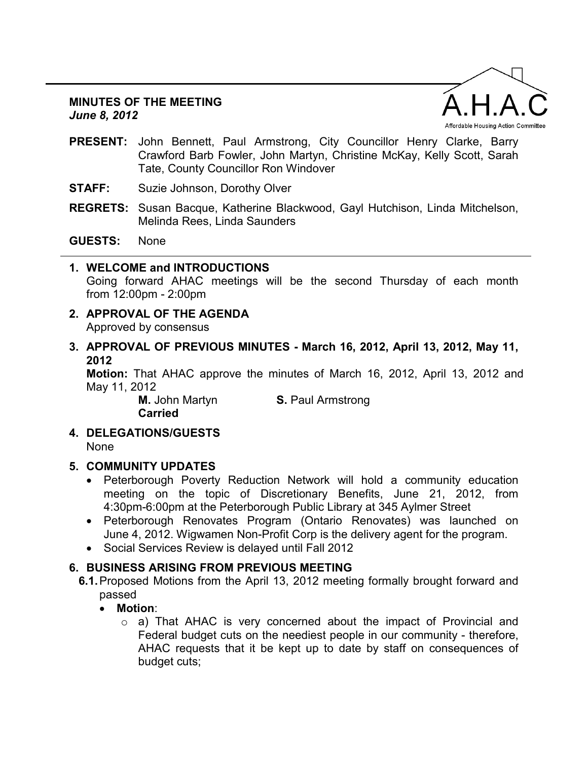#### **MINUTES OF THE MEETING**  *June 8, 2012*



- **PRESENT:** John Bennett, Paul Armstrong, City Councillor Henry Clarke, Barry Crawford Barb Fowler, John Martyn, Christine McKay, Kelly Scott, Sarah Tate, County Councillor Ron Windover
- **STAFF:** Suzie Johnson, Dorothy Olver
- **REGRETS:** Susan Bacque, Katherine Blackwood, Gayl Hutchison, Linda Mitchelson, Melinda Rees, Linda Saunders

### **GUESTS:** None

- **1. WELCOME and INTRODUCTIONS**  Going forward AHAC meetings will be the second Thursday of each month from 12:00pm - 2:00pm
- **2. APPROVAL OF THE AGENDA**  Approved by consensus
- **3. APPROVAL OF PREVIOUS MINUTES March 16, 2012, April 13, 2012, May 11, 2012**

**Motion:** That AHAC approve the minutes of March 16, 2012, April 13, 2012 and May 11, 2012

**Carried** 

**M.** John Martyn **S. Paul Armstrong** 

**4. DELEGATIONS/GUESTS**  None

# **5. COMMUNITY UPDATES**

- Peterborough Poverty Reduction Network will hold a community education meeting on the topic of Discretionary Benefits, June 21, 2012, from 4:30pm-6:00pm at the Peterborough Public Library at 345 Aylmer Street
- Peterborough Renovates Program (Ontario Renovates) was launched on June 4, 2012. Wigwamen Non-Profit Corp is the delivery agent for the program.
- Social Services Review is delayed until Fall 2012

# **6. BUSINESS ARISING FROM PREVIOUS MEETING**

- **6.1.** Proposed Motions from the April 13, 2012 meeting formally brought forward and passed
	- **Motion**:
		- $\circ$  a) That AHAC is very concerned about the impact of Provincial and Federal budget cuts on the neediest people in our community - therefore, AHAC requests that it be kept up to date by staff on consequences of budget cuts;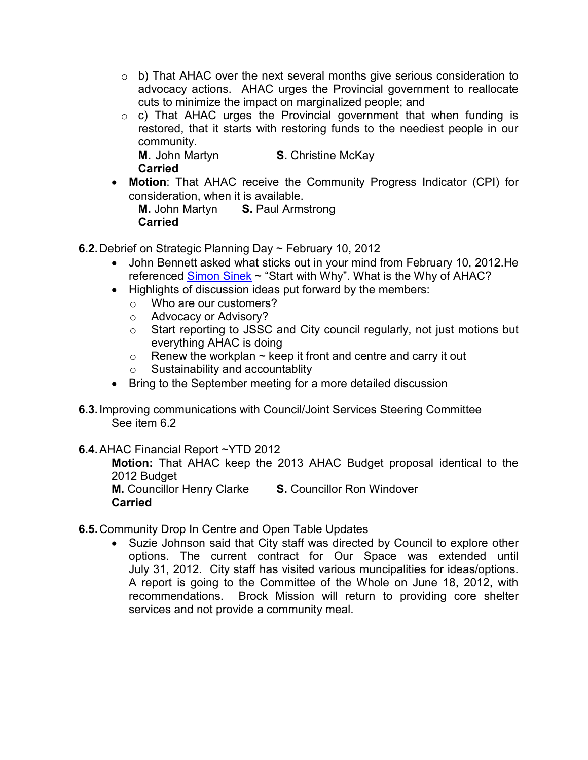- $\circ$  b) That AHAC over the next several months give serious consideration to advocacy actions. AHAC urges the Provincial government to reallocate cuts to minimize the impact on marginalized people; and
- $\circ$  c) That AHAC urges the Provincial government that when funding is restored, that it starts with restoring funds to the neediest people in our community. **M.** John Martyn **S.** Christine McKay

**Carried** 

• **Motion**: That AHAC receive the Community Progress Indicator (CPI) for consideration, when it is available.

**M.** John Martyn **S.** Paul Armstrong **Carried** 

- **6.2.** Debrief on Strategic Planning Day ~ February 10, 2012
	- John Bennett asked what sticks out in your mind from February 10, 2012.He referenced [Simon Sinek ~](http://www.startwithwhy.com/Read.aspx) "Start with Why". What is the Why of AHAC?
	- Highlights of discussion ideas put forward by the members:
		- o Who are our customers?
		- o Advocacy or Advisory?
		- o Start reporting to JSSC and City council regularly, not just motions but everything AHAC is doing
		- $\circ$  Renew the workplan  $\sim$  keep it front and centre and carry it out
		- o Sustainability and accountablity
	- Bring to the September meeting for a more detailed discussion
- **6.3.** Improving communications with Council/Joint Services Steering Committee See item 6.2

# **6.4.** AHAC Financial Report ~YTD 2012

**Motion:** That AHAC keep the 2013 AHAC Budget proposal identical to the 2012 Budget

**M.** Councillor Henry Clarke **S.** Councillor Ron Windover **Carried**

- **6.5.** Community Drop In Centre and Open Table Updates
	- Suzie Johnson said that City staff was directed by Council to explore other options. The current contract for Our Space was extended until July 31, 2012. City staff has visited various muncipalities for ideas/options. A report is going to the Committee of the Whole on June 18, 2012, with recommendations. Brock Mission will return to providing core shelter services and not provide a community meal.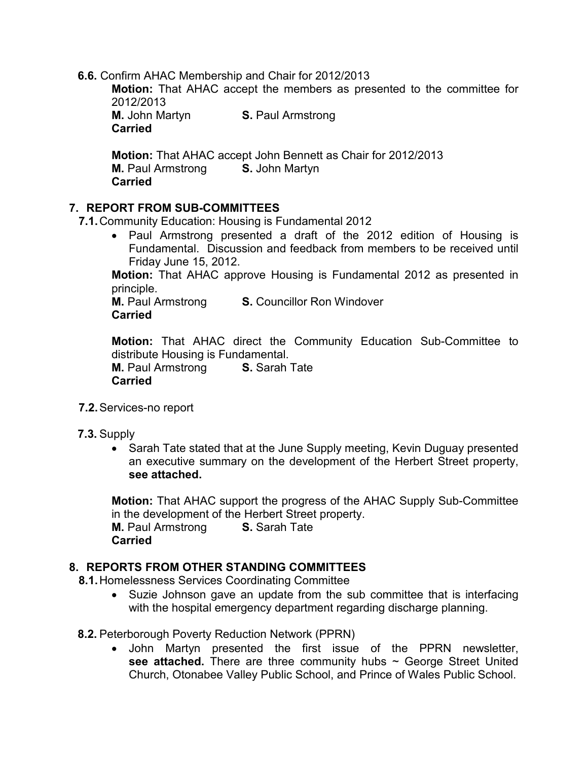**6.6.** Confirm AHAC Membership and Chair for 2012/2013

**Motion:** That AHAC accept the members as presented to the committee for 2012/2013

**M.** John Martyn **S.** Paul Armstrong **Carried** 

**Motion:** That AHAC accept John Bennett as Chair for 2012/2013 **M.** Paul Armstrong **S.** John Martyn **Carried** 

### **7. REPORT FROM SUB-COMMITTEES**

**7.1.** Community Education: Housing is Fundamental 2012

• Paul Armstrong presented a draft of the 2012 edition of Housing is Fundamental. Discussion and feedback from members to be received until Friday June 15, 2012.

**Motion:** That AHAC approve Housing is Fundamental 2012 as presented in principle.

**M.** Paul Armstrong **S.** Councillor Ron Windover **Carried** 

**Motion:** That AHAC direct the Community Education Sub-Committee to distribute Housing is Fundamental.

**M.** Paul Armstrong **S.** Sarah Tate **Carried**

- **7.2.** Services-no report
- **7.3.** Supply
	- Sarah Tate stated that at the June Supply meeting, Kevin Duguay presented an executive summary on the development of the Herbert Street property, **see attached.**

**Motion:** That AHAC support the progress of the AHAC Supply Sub-Committee in the development of the Herbert Street property. **M.** Paul Armstrong **S.** Sarah Tate **Carried** 

### **8. REPORTS FROM OTHER STANDING COMMITTEES**

**8.1.** Homelessness Services Coordinating Committee

- Suzie Johnson gave an update from the sub committee that is interfacing with the hospital emergency department regarding discharge planning.
- **8.2.** Peterborough Poverty Reduction Network (PPRN)
	- John Martyn presented the first issue of the PPRN newsletter, see attached. There are three community hubs ~ George Street United Church, Otonabee Valley Public School, and Prince of Wales Public School.